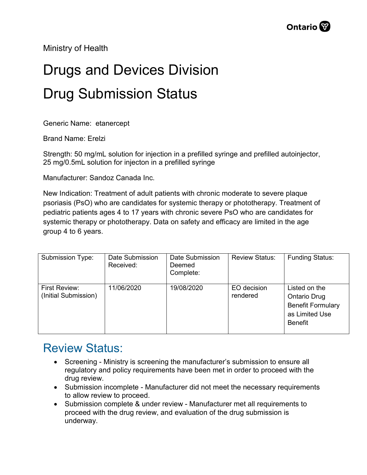Ministry of Health

## Drugs and Devices Division Drug Submission Status

Generic Name: etanercept

Brand Name: Erelzi

Strength: 50 mg/mL solution for injection in a prefilled syringe and prefilled autoinjector, 25 mg/0.5mL solution for injecton in a prefilled syringe

Manufacturer: Sandoz Canada Inc.

New Indication: Treatment of adult patients with chronic moderate to severe plaque psoriasis (PsO) who are candidates for systemic therapy or phototherapy. Treatment of pediatric patients ages 4 to 17 years with chronic severe PsO who are candidates for systemic therapy or phototherapy. Data on safety and efficacy are limited in the age group 4 to 6 years.

| Submission Type:                      | Date Submission<br>Received: | Date Submission<br>Deemed<br>Complete: | <b>Review Status:</b>   | <b>Funding Status:</b>                                                                               |
|---------------------------------------|------------------------------|----------------------------------------|-------------------------|------------------------------------------------------------------------------------------------------|
| First Review:<br>(Initial Submission) | 11/06/2020                   | 19/08/2020                             | EO decision<br>rendered | Listed on the<br><b>Ontario Drug</b><br><b>Benefit Formulary</b><br>as Limited Use<br><b>Benefit</b> |

## Review Status:

- Screening Ministry is screening the manufacturer's submission to ensure all regulatory and policy requirements have been met in order to proceed with the drug review.
- Submission incomplete Manufacturer did not meet the necessary requirements to allow review to proceed.
- Submission complete & under review Manufacturer met all requirements to proceed with the drug review, and evaluation of the drug submission is underway.